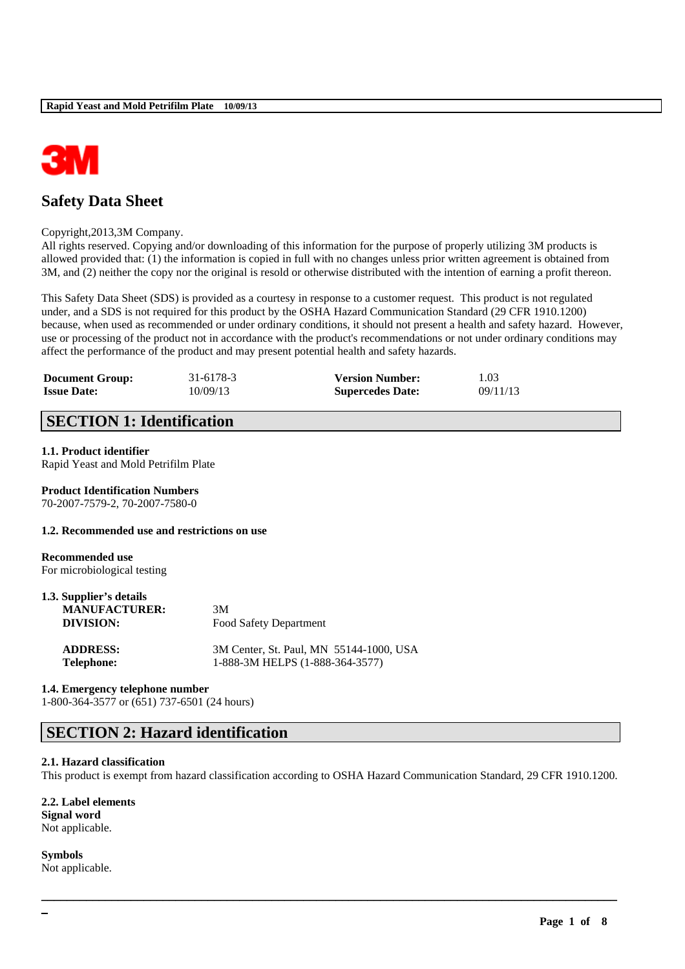

# **Safety Data Sheet**

#### Copyright,2013,3M Company.

All rights reserved. Copying and/or downloading of this information for the purpose of properly utilizing 3M products is allowed provided that: (1) the information is copied in full with no changes unless prior written agreement is obtained from 3M, and (2) neither the copy nor the original is resold or otherwise distributed with the intention of earning a profit thereon.

This Safety Data Sheet (SDS) is provided as a courtesy in response to a customer request. This product is not regulated under, and a SDS is not required for this product by the OSHA Hazard Communication Standard (29 CFR 1910.1200) because, when used as recommended or under ordinary conditions, it should not present a health and safety hazard. However, use or processing of the product not in accordance with the product's recommendations or not under ordinary conditions may affect the performance of the product and may present potential health and safety hazards.

| <b>Document Group:</b> | 31-6178-3 | <b>Version Number:</b>  | 1.03     |
|------------------------|-----------|-------------------------|----------|
| <b>Issue Date:</b>     | 10/09/13  | <b>Supercedes Date:</b> | 09/11/13 |

# **SECTION 1: Identification**

#### **1.1. Product identifier**

Rapid Yeast and Mold Petrifilm Plate

# **Product Identification Numbers**

70-2007-7579-2, 70-2007-7580-0

#### **1.2. Recommended use and restrictions on use**

**Recommended use** For microbiological testing

| 1.3. Supplier's details |                                                                                                         |
|-------------------------|---------------------------------------------------------------------------------------------------------|
| <b>MANUFACTURER:</b>    | 3M                                                                                                      |
| DIVISION:               | Food Safety Department                                                                                  |
| ADDDROG.                | $2M$ $C_{\text{outer}}$ $C_{\text{t}}$ $D_{\text{ext}}$ $M_{\text{N}}$ $\epsilon$ $\epsilon$ 1.4.4.1000 |

**ADDRESS:** 3M Center, St. Paul, MN 55144-1000, USA **Telephone:** 1-888-3M HELPS (1-888-364-3577)

#### **1.4. Emergency telephone number**

1-800-364-3577 or (651) 737-6501 (24 hours)

# **SECTION 2: Hazard identification**

#### **2.1. Hazard classification**

This product is exempt from hazard classification according to OSHA Hazard Communication Standard, 29 CFR 1910.1200.

\_\_\_\_\_\_\_\_\_\_\_\_\_\_\_\_\_\_\_\_\_\_\_\_\_\_\_\_\_\_\_\_\_\_\_\_\_\_\_\_\_\_\_\_\_\_\_\_\_\_\_\_\_\_\_\_\_\_\_\_\_\_\_\_\_\_\_\_\_\_\_\_\_\_\_\_\_\_\_\_\_\_\_\_\_\_\_\_\_\_

**2.2. Label elements Signal word** Not applicable.

**Symbols** Not applicable.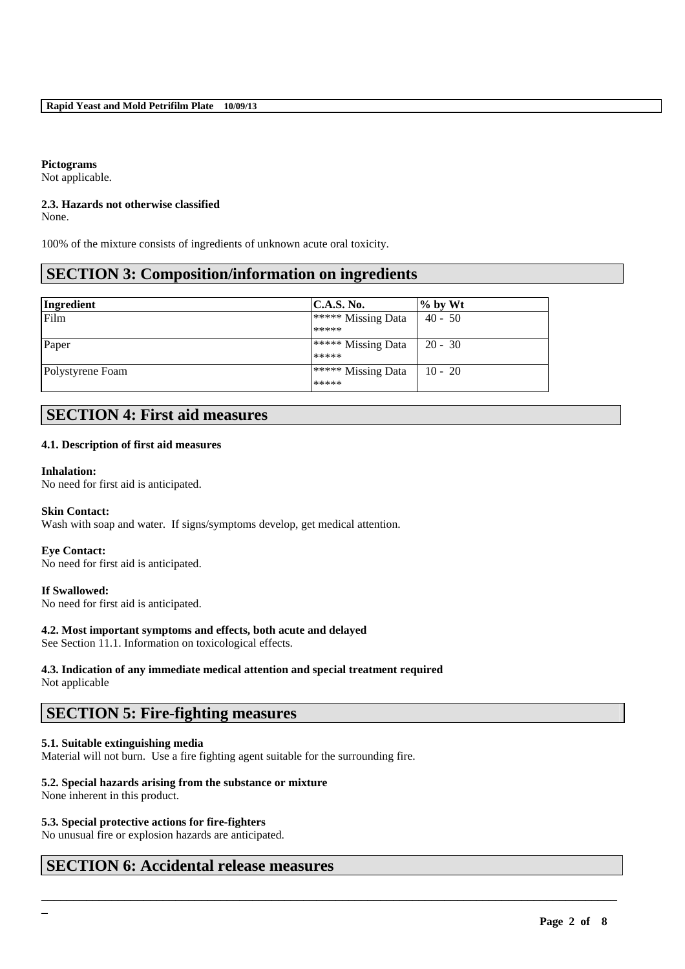## **Pictograms**

Not applicable.

# **2.3. Hazards not otherwise classified**

None.

100% of the mixture consists of ingredients of unknown acute oral toxicity.

# **SECTION 3: Composition/information on ingredients**

| Ingredient       | C.A.S. No.                       | $%$ by Wt |
|------------------|----------------------------------|-----------|
| Film             | ***** Missing Data               | $40 - 50$ |
|                  | *****                            |           |
| Paper            | $\rightarrow$ ***** Missing Data | $20 - 30$ |
|                  | *****                            |           |
| Polystyrene Foam | $\rightarrow$ ***** Missing Data | $10 - 20$ |
|                  | *****                            |           |

# **SECTION 4: First aid measures**

## **4.1. Description of first aid measures**

#### **Inhalation:**

No need for first aid is anticipated.

## **Skin Contact:**

Wash with soap and water. If signs/symptoms develop, get medical attention.

## **Eye Contact:**

No need for first aid is anticipated.

**If Swallowed:**  No need for first aid is anticipated.

**4.2. Most important symptoms and effects, both acute and delayed**

See Section 11.1. Information on toxicological effects.

#### **4.3. Indication of any immediate medical attention and special treatment required** Not applicable

# **SECTION 5: Fire-fighting measures**

## **5.1. Suitable extinguishing media**

Material will not burn. Use a fire fighting agent suitable for the surrounding fire.

\_\_\_\_\_\_\_\_\_\_\_\_\_\_\_\_\_\_\_\_\_\_\_\_\_\_\_\_\_\_\_\_\_\_\_\_\_\_\_\_\_\_\_\_\_\_\_\_\_\_\_\_\_\_\_\_\_\_\_\_\_\_\_\_\_\_\_\_\_\_\_\_\_\_\_\_\_\_\_\_\_\_\_\_\_\_\_\_\_\_

## **5.2. Special hazards arising from the substance or mixture**

None inherent in this product.

## **5.3. Special protective actions for fire-fighters**

No unusual fire or explosion hazards are anticipated.

# **SECTION 6: Accidental release measures**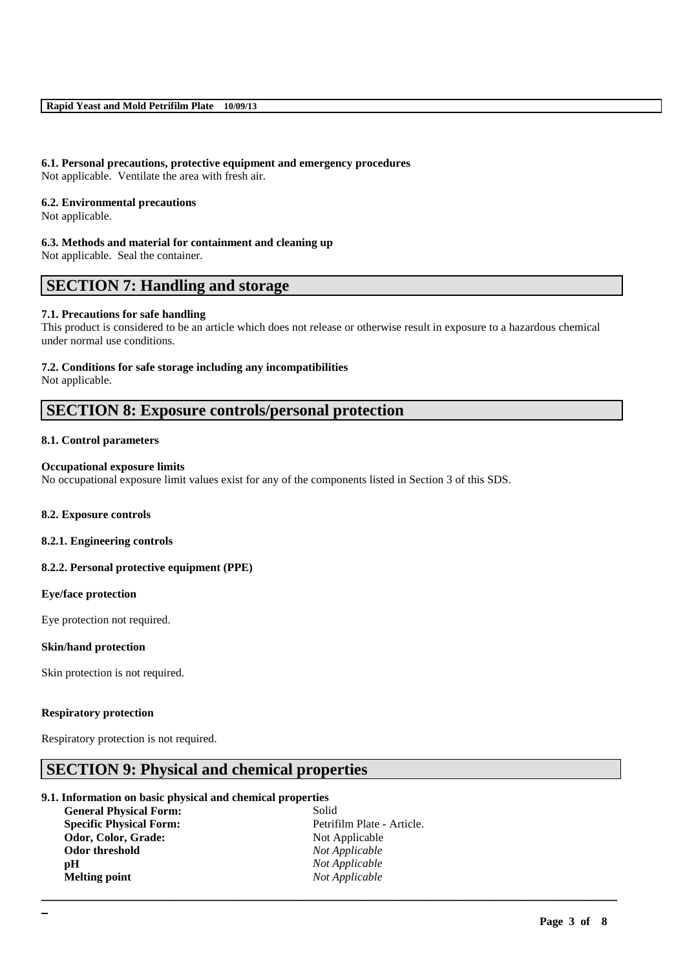# **6.1. Personal precautions, protective equipment and emergency procedures**

Not applicable. Ventilate the area with fresh air.

### **6.2. Environmental precautions**

Not applicable.

#### **6.3. Methods and material for containment and cleaning up**

Not applicable. Seal the container.

# **SECTION 7: Handling and storage**

## **7.1. Precautions for safe handling**

This product is considered to be an article which does not release or otherwise result in exposure to a hazardous chemical under normal use conditions.

#### **7.2. Conditions for safe storage including any incompatibilities**

Not applicable.

# **SECTION 8: Exposure controls/personal protection**

## **8.1. Control parameters**

### **Occupational exposure limits**

No occupational exposure limit values exist for any of the components listed in Section 3 of this SDS.

## **8.2. Exposure controls**

## **8.2.1. Engineering controls**

## **8.2.2. Personal protective equipment (PPE)**

## **Eye/face protection**

Eye protection not required.

## **Skin/hand protection**

Skin protection is not required.

## **Respiratory protection**

Respiratory protection is not required.

# **SECTION 9: Physical and chemical properties**

## **9.1. Information on basic physical and chemical properties**

| <b>General Physical Form:</b>  | Solid                      |
|--------------------------------|----------------------------|
| <b>Specific Physical Form:</b> | Petrifilm Plate - Article. |
| Odor, Color, Grade:            | Not Applicable             |
| Odor threshold                 | Not Applicable             |
| рH                             | Not Applicable             |
| <b>Melting point</b>           | Not Applicable             |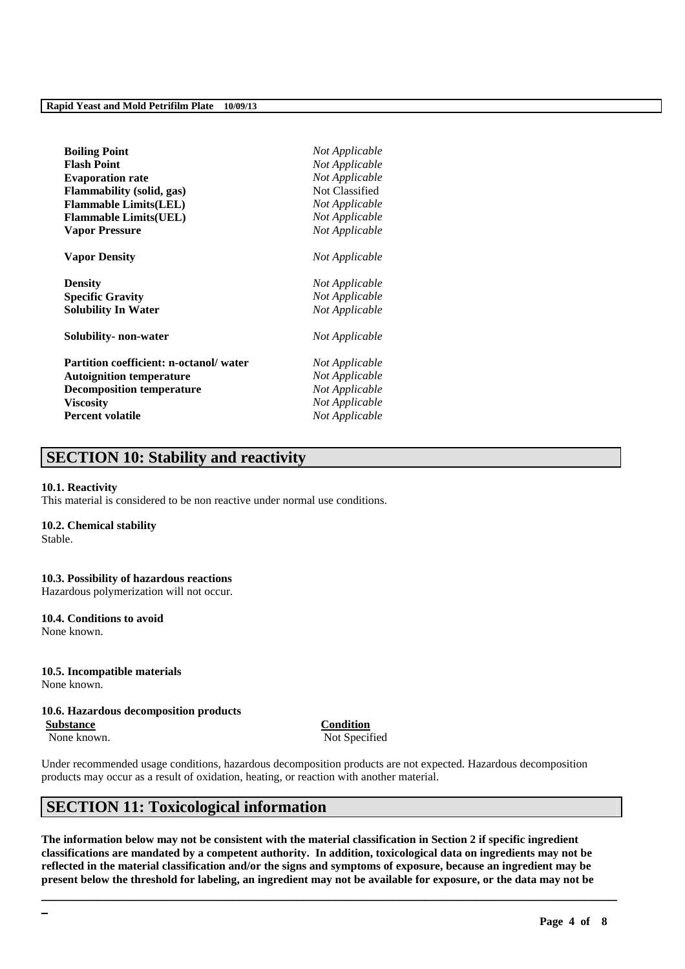| <b>Boiling Point</b>                   | Not Applicable |
|----------------------------------------|----------------|
| <b>Flash Point</b>                     | Not Applicable |
| <b>Evaporation rate</b>                | Not Applicable |
| <b>Flammability (solid, gas)</b>       | Not Classified |
| <b>Flammable Limits(LEL)</b>           | Not Applicable |
| <b>Flammable Limits(UEL)</b>           | Not Applicable |
| <b>Vapor Pressure</b>                  | Not Applicable |
| <b>Vapor Density</b>                   | Not Applicable |
| <b>Density</b>                         | Not Applicable |
| <b>Specific Gravity</b>                | Not Applicable |
| <b>Solubility In Water</b>             | Not Applicable |
| Solubility- non-water                  | Not Applicable |
| Partition coefficient: n-octanol/water | Not Applicable |
| <b>Autoignition temperature</b>        | Not Applicable |
| <b>Decomposition temperature</b>       | Not Applicable |
| <b>Viscosity</b>                       | Not Applicable |
| <b>Percent volatile</b>                | Not Applicable |

# **SECTION 10: Stability and reactivity**

#### **10.1. Reactivity**

This material is considered to be non reactive under normal use conditions.

#### **10.2. Chemical stability**

Stable.

#### **10.3. Possibility of hazardous reactions** Hazardous polymerization will not occur.

**10.4. Conditions to avoid** None known.

**10.5. Incompatible materials** None known.

#### **10.6. Hazardous decomposition products**

**Substance Condition** None known. Not Specified

Under recommended usage conditions, hazardous decomposition products are not expected. Hazardous decomposition products may occur as a result of oxidation, heating, or reaction with another material.

# **SECTION 11: Toxicological information**

**The information below may not be consistent with the material classification in Section 2 if specific ingredient classifications are mandated by a competent authority. In addition, toxicological data on ingredients may not be reflected in the material classification and/or the signs and symptoms of exposure, because an ingredient may be present below the threshold for labeling, an ingredient may not be available for exposure, or the data may not be**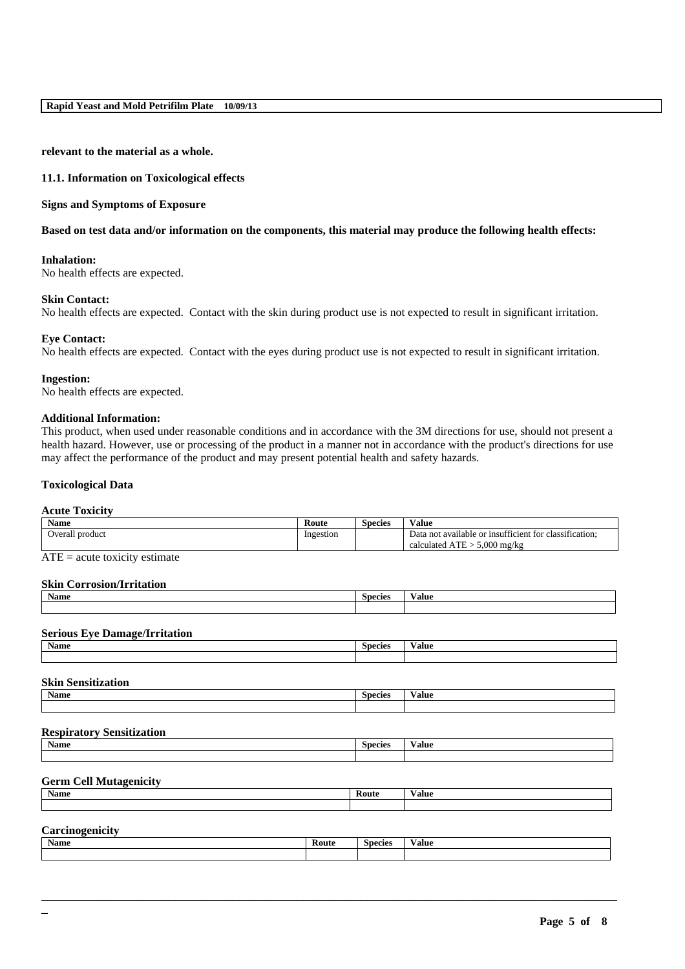**relevant to the material as a whole.**

#### **11.1. Information on Toxicological effects**

#### **Signs and Symptoms of Exposure**

### **Based on test data and/or information on the components, this material may produce the following health effects:**

### **Inhalation:**

No health effects are expected.

#### **Skin Contact:**

No health effects are expected. Contact with the skin during product use is not expected to result in significant irritation.

#### **Eye Contact:**

No health effects are expected. Contact with the eyes during product use is not expected to result in significant irritation.

#### **Ingestion:**

No health effects are expected.

#### **Additional Information:**

This product, when used under reasonable conditions and in accordance with the 3M directions for use, should not present a health hazard. However, use or processing of the product in a manner not in accordance with the product's directions for use may affect the performance of the product and may present potential health and safety hazards.

### **Toxicological Data**

## **Acute Toxicity**

| <b>Name</b>        | Route     | Species | $-$<br>Value                                                                                                                         |
|--------------------|-----------|---------|--------------------------------------------------------------------------------------------------------------------------------------|
| Overall<br>product | Ingestion |         | . .<br>$\sim$<br>e or insufficient for classification:<br>i not available.<br>Data<br>$5.000$ mg/kg<br><b>TIT</b><br>calculated ATE: |
|                    |           |         |                                                                                                                                      |

 $ATE = acute$  toxicity estimate

## **Skin Corrosion/Irritation**

| <b>BY</b><br>Name | inaciac<br>.וו | 'alue |
|-------------------|----------------|-------|
|                   |                |       |

# **Serious Eye Damage/Irritation**

| Name | Species | /alue |
|------|---------|-------|
|      |         |       |

## **Skin Sensitization**

| .    |                |       |  |  |
|------|----------------|-------|--|--|
| Name | <b>Species</b> | Value |  |  |
|      |                |       |  |  |

## **Respiratory Sensitization**

| Name | <b>Species</b> | 'alue |
|------|----------------|-------|
|      |                |       |
|      |                |       |

# **Germ Cell Mutagenicity**

**Construction** 

| Name | Route | $\sim$<br>∨alue |
|------|-------|-----------------|
|      |       |                 |
|      |       |                 |

| ∪aı<br>. |       |                |                 |  |
|----------|-------|----------------|-----------------|--|
| Name     | Route | <b>Species</b> | $\sim$<br>Value |  |
|          |       |                |                 |  |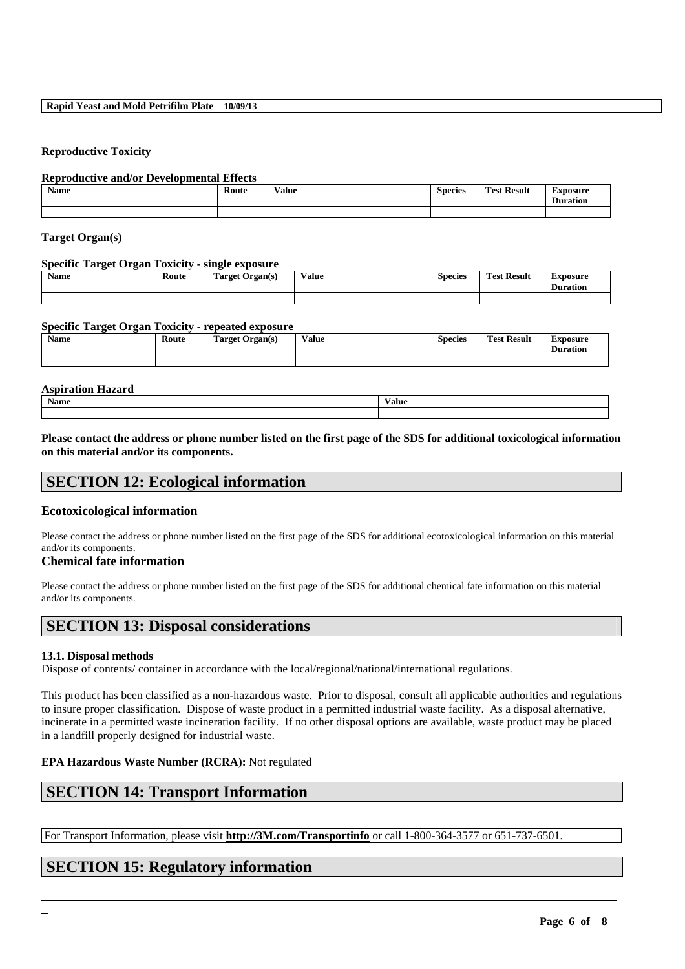#### **Rapid Yeast and Mold Petrifilm Plate 10/09/13**

#### **Reproductive Toxicity**

#### **Reproductive and/or Developmental Effects**

| Name | Route<br>. | $-$<br>Value<br>. | <b>Species</b> | Result<br>l`est | <b>Exposure</b><br><b>Duration</b> |
|------|------------|-------------------|----------------|-----------------|------------------------------------|
|      |            |                   |                |                 |                                    |

### **Target Organ(s)**

#### **Specific Target Organ Toxicity - single exposure**

| Name | Route | -<br>Target Organ(s)<br>۰. | $-1$<br>⁄ alue | <b>Species</b> | m<br><b>Test Result</b> | Exposure<br><b>Duration</b> |
|------|-------|----------------------------|----------------|----------------|-------------------------|-----------------------------|
|      |       |                            |                |                |                         |                             |

#### **Specific Target Organ Toxicity - repeated exposure**

| <b>Name</b> | Route | <b>Target Organ(s)</b> | Value | Species | <b>Test Result</b> | Exposure<br><b>Duration</b> |
|-------------|-------|------------------------|-------|---------|--------------------|-----------------------------|
|             |       |                        |       |         |                    |                             |

# **Aspiration Hazard Name Value**

**Please contact the address or phone number listed on the first page of the SDS for additional toxicological information on this material and/or its components.**

# **SECTION 12: Ecological information**

## **Ecotoxicological information**

Please contact the address or phone number listed on the first page of the SDS for additional ecotoxicological information on this material and/or its components.

## **Chemical fate information**

Please contact the address or phone number listed on the first page of the SDS for additional chemical fate information on this material and/or its components.

# **SECTION 13: Disposal considerations**

#### **13.1. Disposal methods**

Dispose of contents/ container in accordance with the local/regional/national/international regulations.

This product has been classified as a non-hazardous waste. Prior to disposal, consult all applicable authorities and regulations to insure proper classification. Dispose of waste product in a permitted industrial waste facility. As a disposal alternative, incinerate in a permitted waste incineration facility. If no other disposal options are available, waste product may be placed in a landfill properly designed for industrial waste.

## **EPA Hazardous Waste Number (RCRA):** Not regulated

# **SECTION 14: Transport Information**

For Transport Information, please visit **http://3M.com/Transportinfo** or call 1-800-364-3577 or 651-737-6501.

\_\_\_\_\_\_\_\_\_\_\_\_\_\_\_\_\_\_\_\_\_\_\_\_\_\_\_\_\_\_\_\_\_\_\_\_\_\_\_\_\_\_\_\_\_\_\_\_\_\_\_\_\_\_\_\_\_\_\_\_\_\_\_\_\_\_\_\_\_\_\_\_\_\_\_\_\_\_\_\_\_\_\_\_\_\_\_\_\_\_

# **SECTION 15: Regulatory information**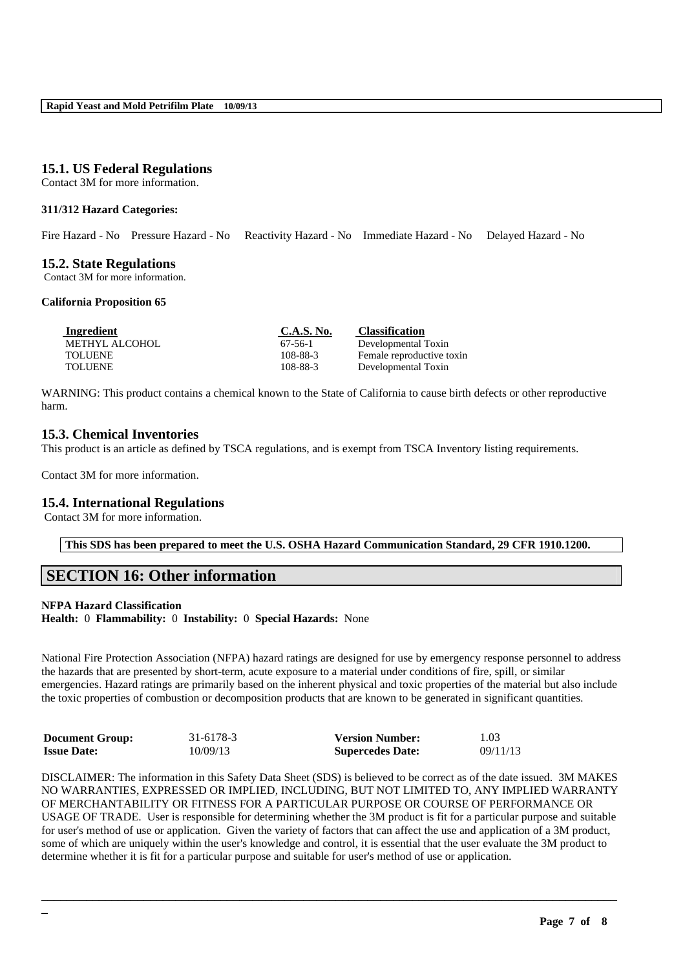## **15.1. US Federal Regulations**

Contact 3M for more information.

### **311/312 Hazard Categories:**

Fire Hazard - No Pressure Hazard - No Reactivity Hazard - No Immediate Hazard - No Delayed Hazard - No

## **15.2. State Regulations**

Contact 3M for more information.

#### **California Proposition 65**

| Ingredient     | C.A.S. No. | <b>Classification</b>     |
|----------------|------------|---------------------------|
| METHYL ALCOHOL | 67-56-1    | Developmental Toxin       |
| <b>TOLUENE</b> | 108-88-3   | Female reproductive toxin |
| <b>TOLUENE</b> | 108-88-3   | Developmental Toxin       |

WARNING: This product contains a chemical known to the State of California to cause birth defects or other reproductive harm.

## **15.3. Chemical Inventories**

This product is an article as defined by TSCA regulations, and is exempt from TSCA Inventory listing requirements.

Contact 3M for more information.

## **15.4. International Regulations**

Contact 3M for more information.

**This SDS has been prepared to meet the U.S. OSHA Hazard Communication Standard, 29 CFR 1910.1200.**

# **SECTION 16: Other information**

# **NFPA Hazard Classification**

**Health:** 0 **Flammability:** 0 **Instability:** 0 **Special Hazards:** None

National Fire Protection Association (NFPA) hazard ratings are designed for use by emergency response personnel to address the hazards that are presented by short-term, acute exposure to a material under conditions of fire, spill, or similar emergencies. Hazard ratings are primarily based on the inherent physical and toxic properties of the material but also include the toxic properties of combustion or decomposition products that are known to be generated in significant quantities.

| <b>Document Group:</b> | 31-6178-3 | <b>Version Number:</b>  | 1.03     |
|------------------------|-----------|-------------------------|----------|
| <b>Issue Date:</b>     | 10/09/13  | <b>Supercedes Date:</b> | 09/11/13 |

DISCLAIMER: The information in this Safety Data Sheet (SDS) is believed to be correct as of the date issued. 3M MAKES NO WARRANTIES, EXPRESSED OR IMPLIED, INCLUDING, BUT NOT LIMITED TO, ANY IMPLIED WARRANTY OF MERCHANTABILITY OR FITNESS FOR A PARTICULAR PURPOSE OR COURSE OF PERFORMANCE OR USAGE OF TRADE. User is responsible for determining whether the 3M product is fit for a particular purpose and suitable for user's method of use or application. Given the variety of factors that can affect the use and application of a 3M product, some of which are uniquely within the user's knowledge and control, it is essential that the user evaluate the 3M product to determine whether it is fit for a particular purpose and suitable for user's method of use or application.